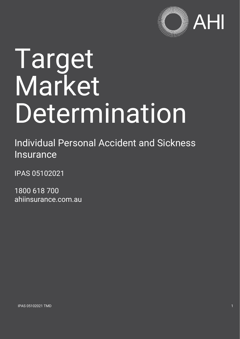

# Target Market Determination

Individual Personal Accident and Sickness Insurance

IPAS 05102021

1800 618 700 ahiinsurance.com.au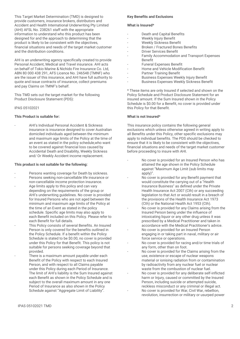This Target Market Determination (TMD) is designed to provide customers, insurance brokers, distributors and Accident and Health International Underwriting Pty Limited (AHI) AFSL No. 238261 staff with the appropriate information to understand who this product has been designed for and the approach to determining that the product is likely to be consistent with the objectives, financial situations and needs of the target market customer and the distribution conditions.

AHI is an underwriting agency specifically created to provide Personal Accident, Medical and Travel insurance. AHI acts on behalf of Tokio Marine & Nichido Fire Insurance Co. Ltd, ABN 80 000 438 291, AFS Licence No. 246548 (TMNF) who are the issuer of this insurance, and AHI have full authority to quote and issue contracts of insurance, collect premiums and pay Claims on TMNF's behalf.

This TMD sets out the target market for the following Product Disclosure Statement (PDS):

#### IPAS 05102021

#### **This Product is suitable for:**

- AHI's Individual Personal Accident & Sickness insurance is insurance designed to cover Australian domiciled individuals aged between the minimum and maximum age limits of the Policy at the time of an event as stated in the policy schedule,who want to be covered against financial loss caused by Accidental Death and Disability, Weekly Sickness and/ Or Weekly Accident income replacement.

#### **This product is not suitable for the following:**

- Persons wanting coverage for Death by sickness.
- Persons seeking non-cancellable life insurance or non-cancellable income protection insurance.
- Age limits apply to this policy and can vary depending on the requirements of the group or AHI's underwriting guidelines. No cover is provided for Insured Persons who are not aged between the minimum and maximum age limits of the Policy at the time of an Event as stated in the policy schedule. Specific age limits may also apply to each Benefit included on this Policy. Please refer to each Benefit for full details.
- This Policy consists of several Benefits. An Insured Person is only covered for the benefits outlined in the Policy Schedule. If a benefit within the Policy Schedule is stated to be \$0.00, no cover is provided under this Policy for that Benefit. This policy is not suitable for persons seeking coverage beyond that provided.
- There is a maximum amount payable under each Benefit of the Policy with respect to each Insured Person, and with respect to all Claims payable under this Policy during each Period of Insurance. The limit of AHI's liability is the Sum Insured against each Benefit as shown in the Policy Schedule and is subject to the overall maximum amount in any one Period of Insurance as also shown in the Policy Schedule against "Aggregate Limit of Liability".

#### **Key Benefits and Exclusions**

#### **What is Insured\***

- Death and Capital Benefits<br>- Weekly Injury Benefit
- Weekly Injury Benefit
- Weekly Sickness Benefit
- Broken / Fractured Bones Benefits
- Driver Services Benefit
- Family Accommodation and Transport Expenses Benefit
- Funeral Expenses Benefit
- Home and Vehicle Modification Benefit
- Partner Training Benefit
- Business Expenses Weekly Injury Benefit
- Business Expenses Weekly Sickness Benefit

\* These items are only Insured if selected and shown on the Policy Schedule and Product Disclosure Statement for an insured amount. If the Sum Insured shown in the Policy Schedule is \$0.00 for a Benefit, no cover is provided under this Policy for that Benefit.

#### **What is not Insured\***

This insurance policy contains the following general exclusions which unless otherwise agreed in writing apply to all Benefits under this Policy, other specific exclusions may apply to individual benefits. The PDS should be checked to ensure that it is likely to be consistent with the objectives, financial situations and needs of the target market customer before proceeding to insure with AHI.

- No cover is provided for an Insured Person who has attained the age shown in the Policy Schedule against "Maximum Age Limit (sub limits may apply)".
- No cover is provided for any Benefit payment that would constitute the carrying out of a "Health Insurance Business" as defined under the Private Health Insurance Act 2007 (Cth) or any succeeding legislation to that Act or would result in a breach of the provisions of the Health Insurance Act 1973 (Cth) or the National Health Act 1953 (Cth).
- No cover is provided for any Claims arising from the Insured Person being under the influence of intoxicating liquor or any other drug unless it was prescribed by a Medical Practitioner and taken in accordance with the Medical Practitioner's advice.
- No cover is provided for an Insured Person engaging in or taking part in naval, military or air force service or operations.
- No cover is provided for racing and/or time trials of any form, other than on foot.
- No cover is provided for the Claims arising from the use, existence or escape of nuclear weapons material or ionising radiation from or contamination by radioactivity from any nuclear fuel or nuclear waste from the combustion of nuclear fuel.
- No cover is provided for any deliberate self-inflicted harm or Injury, caused or committed by the Insured Person, including suicide or attempted suicide, reckless misconduct or any criminal or illegal act.
- No cover is provided for War, Civil War, rebellion, revolution, insurrection or military or usurped power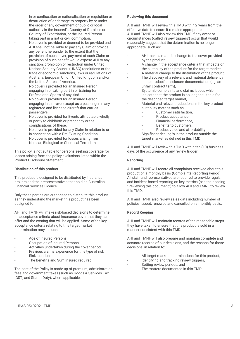in or confiscation or nationalisation or requisition or destruction of or damage to property by or under the order of any government or public or local authority in the Insured's Country of Domicile or Country of Expatriation, or the Insured Person taking part in a riot or civil commotion. No cover is provided or deemed to be provided and AHI shall not be liable to pay any Claim or provide any benefit hereunder to the extent that the provision of such cover, payment of such Claim or provision of such benefit would expose AHI to any sanction, prohibition or restriction under United Nations Security Council (UNSC) resolutions or the trade or economic sanctions, laws or regulations of Australia, European Union, United Kingdom and/or the United States of America.

- No cover is provided for an Insured Person engaging in or taking part in or training for Professional Sports of any kind.
- No cover is provided for an Insured Person engaging in air travel except as a passenger in any registered and licensed aircraft that carries passengers.
- No cover is provided for Events attributable wholly or partly to childbirth or pregnancy or the complications of these.
- No cover is provided for any Claim in relation to or in connection with a Pre-Existing Condition.
- No cover is provided for losses arising from Nuclear, Biological or Chemical Terrorism.

This policy is not suitable for persons seeking coverage for losses arising from the policy exclusions listed within the Product Disclosure Statement.

### **Distribution of this product**

This product is designed to be distributed by insurance brokers and their representatives that hold an Australian Financial Services Licence.

Only these parties are authorised to distribute this product as they understand the market this product has been designed for.

AHI and TMNF will make risk-based decisions to determine its acceptance criteria about insurance cover that they can offer and the costing that will be applied. Some of the key acceptance criteria relating to this target market determination may include:

- Age of Insured Persons
- Occupation of Insured Persons
- Activities undertaken during the cover period
- Previous claims experience for this type of risk
- **Risk location**
- The Benefits and Sum Insured required

The cost of the Policy is made up of premium, administration fees and government taxes (such as Goods & Services Tax [GST] and Stamp Duty), where applicable.

#### **Reviewing this document**

AHI and TMNF will review this TMD within 2 years from the effective date to ensure it remains appropriate. AHI and TMNF will also review this TMD if any event or circumstances (called 'review triggers') occur that would reasonably suggest that the determination is no longer appropriate, such as:

- AHI make a material change to the cover provided by the product,
- A change in the acceptance criteria that impacts on the suitability of the product for the target market,
- A material change to the distribution of the product,
- The discovery of a relevant and material deficiency in the product's disclosure documentation (eg: an unfair contract term),
- Systemic complaints and claims issues which indicate that the product is no longer suitable for the described target market,
- Material and relevant reductions in the key product suitability metrics such as:
	- Customer satisfaction,
		- Product acceptance,
		- Financial performance,
		- Benefits to customers,
			- Product value and affordability.
- Significant dealing/s in the product outside the target market as defined in this TMD.

AHI and TMNF will review this TMD within ten (10) business days of the occurrence of any review trigger.

#### **Reporting**

AHI and TMNF will record all complaints received about this product on a monthly basis (Complaints Reporting Period). All staff and representatives are required to provide regular and incident-based reporting on key metrics (see the heading "Reviewing this document") to allow AHI and TMNF to review this TMD.

AHI and TMNF also review sales data including number of policies issued, renewed and cancelled on a monthly basis.

#### **Record Keeping**

AHI and TMNF will maintain records of the reasonable steps they have taken to ensure that this product is sold in a manner consistent with this TMD.

AHI and TMNF will also prepare and maintain complete and accurate records of our decisions, and the reasons for those decisions, in relation to:

- All target market determinations for this product,
- Identifying and tracking review triggers,
- Setting review periods, and
- The matters documented in this TMD.